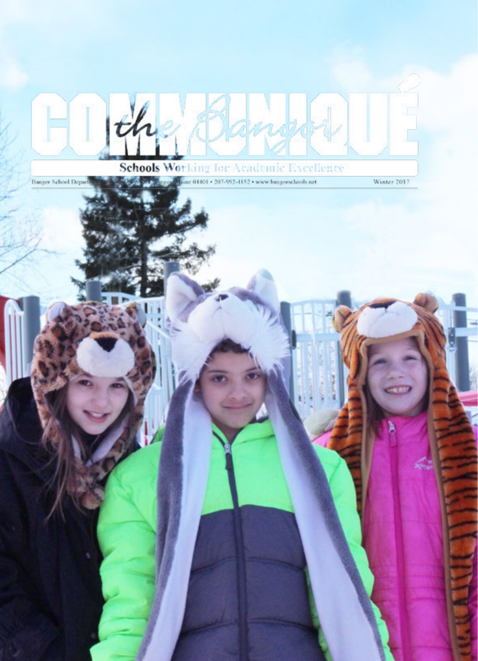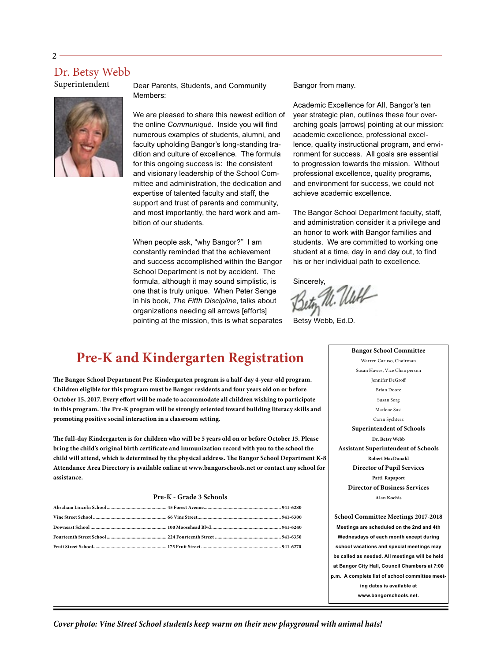#### Dr. Betsy Webb

Superintendent



Dear Parents, Students, and Community Members:

We are pleased to share this newest edition of the online *Communiqué*. Inside you will find numerous examples of students, alumni, and faculty upholding Bangor's long-standing tradition and culture of excellence. The formula for this ongoing success is: the consistent and visionary leadership of the School Committee and administration, the dedication and expertise of talented faculty and staff, the support and trust of parents and community, and most importantly, the hard work and ambition of our students.

When people ask, "why Bangor?" I am constantly reminded that the achievement and success accomplished within the Bangor School Department is not by accident. The formula, although it may sound simplistic, is one that is truly unique. When Peter Senge in his book, *The Fifth Discipline*, talks about organizations needing all arrows [efforts] pointing at the mission, this is what separates Bangor from many.

[Academic Excellence for All, Bangor's ten](http://3mm6kf3iqx7b39if4i3zmub1rh4.wpengine.netdna-cdn.com/wp-content/uploads/2012/09/Academic_Excellence_for_All.Final_.pdf)  [year strategic plan](http://3mm6kf3iqx7b39if4i3zmub1rh4.wpengine.netdna-cdn.com/wp-content/uploads/2012/09/Academic_Excellence_for_All.Final_.pdf), outlines these four overarching goals [arrows] pointing at our mission: academic excellence, professional excellence, quality instructional program, and environment for success. All goals are essential to progression towards the mission. Without professional excellence, quality programs, and environment for success, we could not achieve academic excellence.

The Bangor School Department faculty, staff, and administration consider it a privilege and an honor to work with Bangor families and students. We are committed to working one student at a time, day in and day out, to find his or her individual path to excellence.

Sincerely,<br>Beton M. Uluff

Betsy Webb, Ed.D.

#### **Pre-K and Kindergarten Registration**

**The Bangor School Department Pre-Kindergarten program is a half-day 4-year-old program. Children eligible for this program must be Bangor residents and four years old on or before October 15, 2017. Every effort will be made to accommodate all children wishing to participate in this program. The Pre-K program will be strongly oriented toward building literacy skills and promoting positive social interaction in a classroom setting.** 

**The full-day Kindergarten is for children who will be 5 years old on or before October 15. Please bring the child's original birth certificate and immunization record with you to the school the child will attend, which is determined by the physical address. The Bangor School Department K-8 Attendance Area Directory is available online at<www.bangorschools.net>or contact any school for assistance.**

#### **Pre-K - Grade 3 Schools**

Warren Caruso, Chairman Susan Hawes, Vice Chairperson Jennifer DeGroff Brian Doore Susan Sorg Marlene Susi Carin Sychterz **Superintendent of Schools Dr. Betsy Webb Assistant Superintendent of Schools Robert MacDonald Director of Pupil Services Patti Rapaport Director of Business Services Alan Kochis School Committee Meetings 2017-2018**

**Bangor School Committee**

**Meetings are scheduled on the 2nd and 4th Wednesdays of each month except during school vacations and special meetings may be called as needed. All meetings will be held at Bangor City Hall, Council Chambers at 7:00 p.m. A complete list of school committee meeting dates is available at www.[bangorschools.net](http://3mm6kf3iqx7b39if4i3zmub1rh4.wpengine.netdna-cdn.com/wp-content/uploads/2012/09/School-Committee-2015-2016.pdf).** 

*Cover photo: Vine Street School students keep warm on their new playground with animal hats!*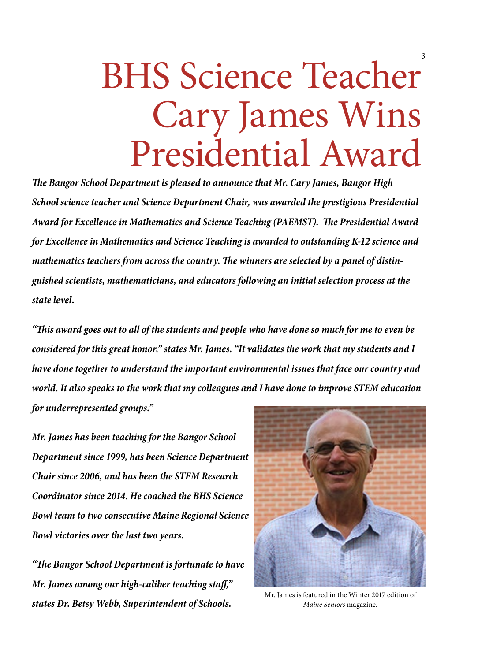## BHS Science Teacher Cary James Wins Presidential Award

*The Bangor School Department is pleased to announce that Mr. Cary James, Bangor High School science teacher and Science Department Chair, was awarded the prestigious Presidential Award for Excellence in Mathematics and Science Teaching (PAEMST). The Presidential Award for Excellence in Mathematics and Science Teaching is awarded to outstanding K-12 science and mathematics teachers from across the country. The winners are selected by a panel of distinguished scientists, mathematicians, and educators following an initial selection process at the state level.*

*"This award goes out to all of the students and people who have done so much for me to even be considered for this great honor," states Mr. James. "It validates the work that my students and I have done together to understand the important environmental issues that face our country and world. It also speaks to the work that my colleagues and I have done to improve STEM education for underrepresented groups."*

*Mr. James has been teaching for the Bangor School Department since 1999, has been Science Department Chair since 2006, and has been the STEM Research Coordinator since 2014. He coached the BHS Science Bowl team to two consecutive Maine Regional Science Bowl victories over the last two years.*

*"The Bangor School Department is fortunate to have Mr. James among our high-caliber teaching staff," states Dr. Betsy Webb, Superintendent of Schools.*



Mr. James is featured in the Winter 2017 edition of *Maine Seniors* magazine.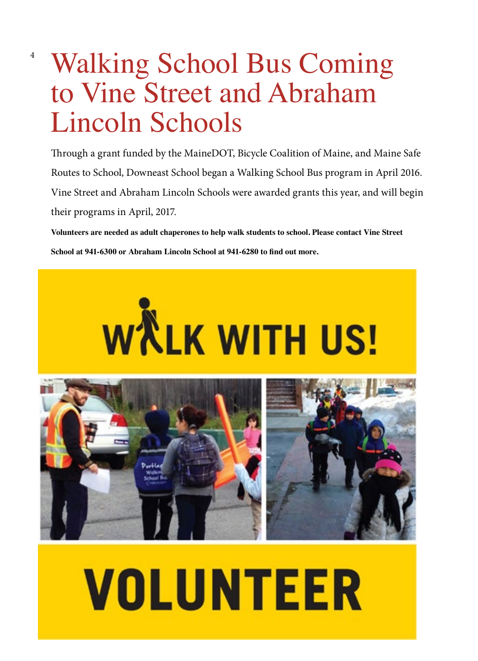## Walking School Bus Coming to Vine Street and Abraham Lincoln Schools

4

Through a grant funded by the MaineDOT, Bicycle Coalition of Maine, and Maine Safe Routes to School, Downeast School began a Walking School Bus program in April 2016. Vine Street and Abraham Lincoln Schools were awarded grants this year, and will begin their programs in April, 2017.

**Volunteers are needed as adult chaperones to help walk students to school. Please contact Vine Street School at 941-6300 or Abraham Lincoln School at 941-6280 to find out more.**



# **VOLUNTEER**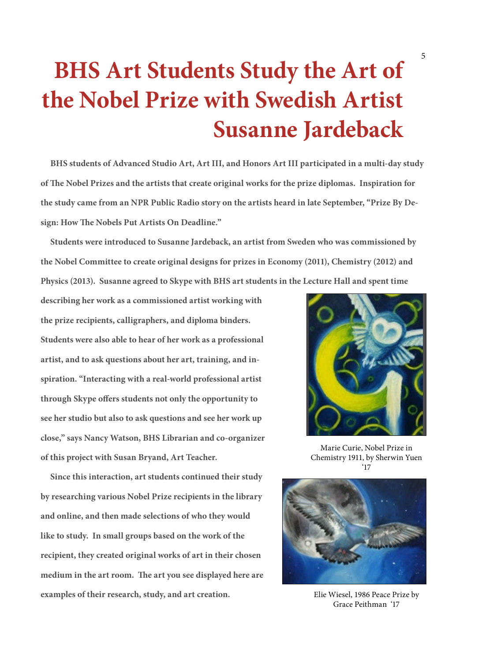### **BHS Art Students Study the Art of the Nobel Prize with Swedish Artist Susanne Jardeback**

 **BHS students of Advanced Studio Art, Art III, and Honors Art III participated in a multi-day study of The Nobel Prizes and the artists that create original works for the prize diplomas. Inspiration for the study came from an NPR Public Radio story on the artists heard in late September, "Prize By Design: How The Nobels Put Artists On Deadline."**

 **Students were introduced to Susanne Jardeback, an artist from Sweden who was commissioned by the Nobel Committee to create original designs for prizes in Economy (2011), Chemistry (2012) and Physics (2013). Susanne agreed to Skype with BHS art students in the Lecture Hall and spent time** 

**describing her work as a commissioned artist working with the prize recipients, calligraphers, and diploma binders. Students were also able to hear of her work as a professional artist, and to ask questions about her art, training, and inspiration. "Interacting with a real-world professional artist through Skype offers students not only the opportunity to see her studio but also to ask questions and see her work up close," says Nancy Watson, BHS Librarian and co-organizer of this project with Susan Bryand, Art Teacher.**

 **Since this interaction, art students continued their study by researching various Nobel Prize recipients in the library and online, and then made selections of who they would like to study. In small groups based on the work of the recipient, they created original works of art in their chosen medium in the art room. The art you see displayed here are examples of their research, study, and art creation.**



Marie Curie, Nobel Prize in Chemistry 1911, by Sherwin Yuen '17



Elie Wiesel, 1986 Peace Prize by Grace Peithman '17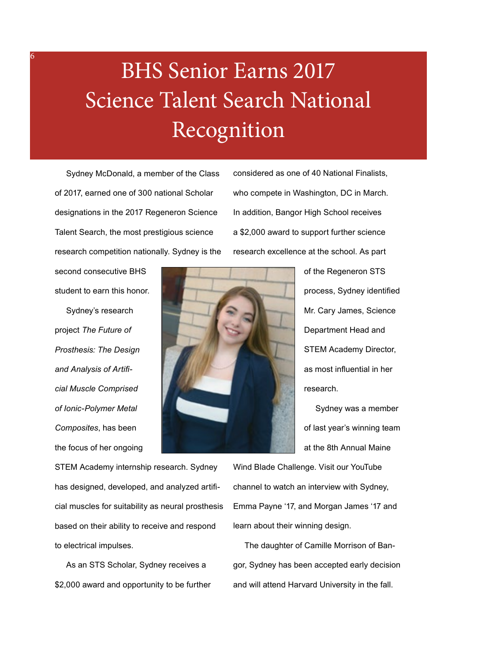### BHS Senior Earns 2017 Science Talent Search National Recognition

 Sydney McDonald, a member of the Class of 2017, earned one of 300 national Scholar designations in the 2017 Regeneron Science Talent Search, the most prestigious science research competition nationally. Sydney is the considered as one of 40 National Finalists, who compete in Washington, DC in March. In addition, Bangor High School receives a \$2,000 award to support further science research excellence at the school. As part

second consecutive BHS student to earn this honor.

6

 Sydney's research project *The Future of Prosthesis: The Design and Analysis of Artificial Muscle Comprised of Ionic-Polymer Metal Composites*, has been the focus of her ongoing



of the Regeneron STS process, Sydney identified Mr. Cary James, Science Department Head and STEM Academy Director, as most influential in her research.

 Sydney was a member of last year's winning team at the 8th Annual Maine

STEM Academy internship research. Sydney has designed, developed, and analyzed artificial muscles for suitability as neural prosthesis based on their ability to receive and respond to electrical impulses.

 As an STS Scholar, Sydney receives a \$2,000 award and opportunity to be further

Wind Blade Challenge. Visit our YouTube channel to watch an interview with Sydney, Emma Payne '17, and Morgan James '17 and learn about their winning design.

 The daughter of Camille Morrison of Bangor, Sydney has been accepted early decision and will attend Harvard University in the fall.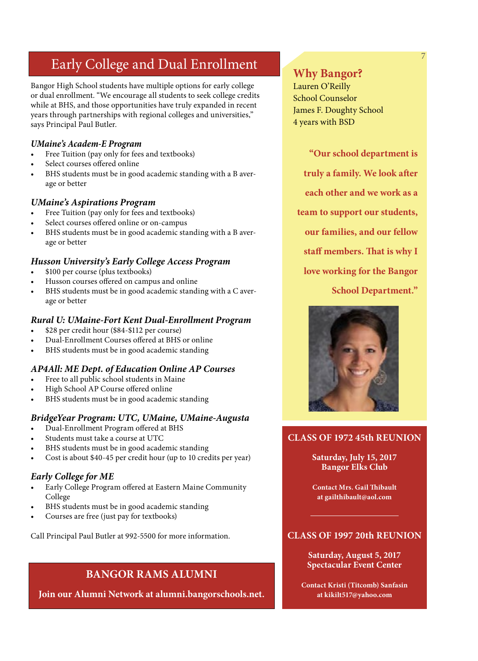#### Early College and Dual Enrollment

Bangor High School students have multiple options for early college or dual enrollment. "We encourage all students to seek college credits while at BHS, and those opportunities have truly expanded in recent years through partnerships with regional colleges and universities," says Principal Paul Butler.

#### *UMaine's Academ-E Program*

- Free Tuition (pay only for fees and textbooks)
- Select courses offered online
- BHS students must be in good academic standing with a B average or better

#### *UMaine's Aspirations Program*

- Free Tuition (pay only for fees and textbooks)
- Select courses offered online or on-campus
- BHS students must be in good academic standing with a B average or better

#### *Husson University's Early College Access Program*

- \$100 per course (plus textbooks)
- Husson courses offered on campus and online
- BHS students must be in good academic standing with a C average or better

#### *Rural U: UMaine-Fort Kent Dual-Enrollment Program*

- \$28 per credit hour (\$84-\$112 per course)
- Dual-Enrollment Courses offered at BHS or online
- BHS students must be in good academic standing

#### *AP4All: ME Dept. of Education Online AP Courses*

- Free to all public school students in Maine
- High School AP Course offered online
- BHS students must be in good academic standing

#### *BridgeYear Program: UTC, UMaine, UMaine-Augusta*

- Dual-Enrollment Program offered at BHS
- Students must take a course at UTC
- BHS students must be in good academic standing
- Cost is about \$40-45 per credit hour (up to 10 credits per year)

#### *Early College for ME*

- Early College Program offered at Eastern Maine Community College
- BHS students must be in good academic standing
- Courses are free (just pay for textbooks)

Call Principal Paul Butler at 992-5500 for more information.

#### **BANGOR RAMS ALUMNI**

**Join our Alumni Network at alumni.[bangorschools.net.](bangorschools.net/welcome)**

#### **Why Bangor?**

Lauren O'Reilly School Counselor James F. Doughty School 4 years with BSD

#### **"Our school department is**

- **truly a family. We look after**
- **each other and we work as a**

**team to support our students,** 

**our families, and our fellow** 

#### **staff members. That is why I**

#### **love working for the Bangor**

**School Department."** 



#### **CLASS OF 1972 45th REUNION**

#### **Saturday, July 15, 2017 Bangor Elks Club**

**Contact Mrs. Gail Thibault at [gailthibault@aol.com](mailto:gailthibault@aol.com)**

#### **CLASS OF 1997 20th REUNION**

**Saturday, August 5, 2017 Spectacular Event Center**

**Contact Kristi (Titcomb) Sanfasin at [kikilt517@yahoo.com](mailto:kikilt517@yahoo.com)**

7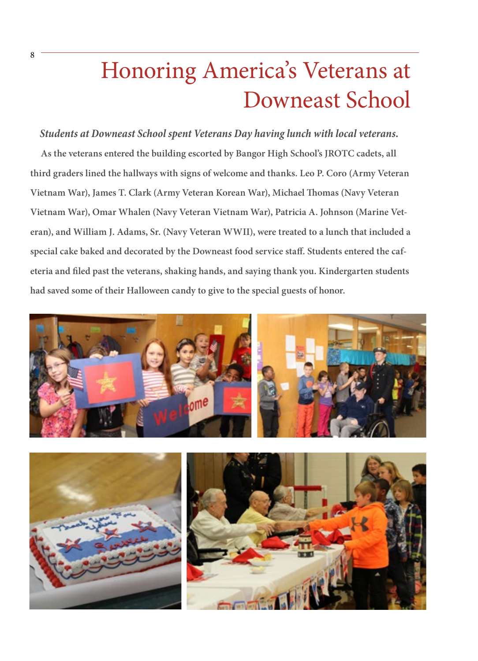### Honoring America's Veterans at Downeast School

*Students at Downeast School spent Veterans Day having lunch with local veterans.*   **As the veterans entered the building escorted by Bangor High School's JROTC cadets, all third graders lined the hallways with signs of welcome and thanks. Leo P. Coro (Army Veteran Vietnam War), James T. Clark (Army Veteran Korean War), Michael Thomas (Navy Veteran Vietnam War), Omar Whalen (Navy Veteran Vietnam War), Patricia A. Johnson (Marine Veteran), and William J. Adams, Sr. (Navy Veteran WWII), were treated to a lunch that included a special cake baked and decorated by the Downeast food service staff. Students entered the cafeteria and filed past the veterans, shaking hands, and saying thank you. Kindergarten students had saved some of their Halloween candy to give to the special guests of honor.** 

8



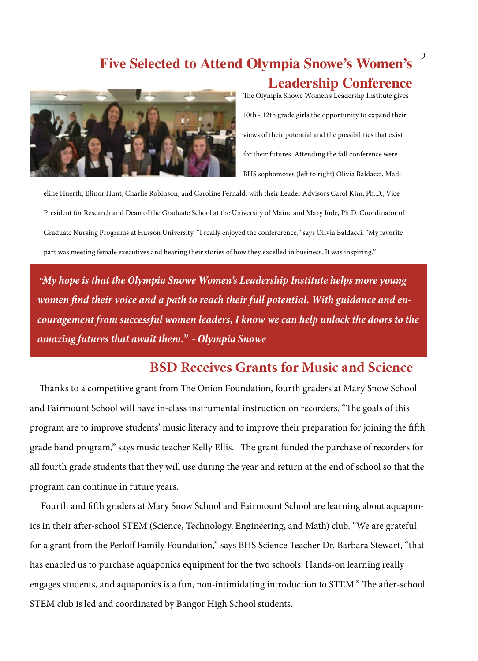#### **Five Selected to Attend Olympia Snowe's Women's Leadership Conference**



The Olympia Snowe Women's Leadershp Institute gives 10th - 12th grade girls the opportunity to expand their views of their potential and the possibilities that exist for their futures. Attending the fall conference were BHS sophomores (left to right) Olivia Baldacci, Mad-

eline Huerth, Elinor Hunt, Charlie Robinson, and Caroline Fernald, with their Leader Advisors Carol Kim, Ph.D., Vice President for Research and Dean of the Graduate School at the University of Maine and Mary Jude, Ph.D. Coordinator of Graduate Nursing Programs at Husson University. "I really enjoyed the confererence," says Olivia Baldacci. "My favorite part was meeting female executives and hearing their stories of how they excelled in business. It was inspiring."

 *"My hope is that the Olympia Snowe Women's Leadership Institute helps more young women find their voice and a path to reach their full potential. With guidance and encouragement from successful women leaders, I know we can help unlock the doors to the amazing futures that await them." - Olympia Snowe*

#### **BSD Receives Grants for Music and Science**

 Thanks to a competitive grant from The Onion Foundation, fourth graders at Mary Snow School and Fairmount School will have in-class instrumental instruction on recorders. "The goals of this program are to improve students' music literacy and to improve their preparation for joining the fifth grade band program," says music teacher Kelly Ellis. The grant funded the purchase of recorders for all fourth grade students that they will use during the year and return at the end of school so that the program can continue in future years.

 Fourth and fifth graders at Mary Snow School and Fairmount School are learning about aquaponics in their after-school STEM (Science, Technology, Engineering, and Math) club. "We are grateful for a grant from the Perloff Family Foundation," says BHS Science Teacher Dr. Barbara Stewart, "that has enabled us to purchase aquaponics equipment for the two schools. Hands-on learning really engages students, and aquaponics is a fun, non-intimidating introduction to STEM." The after-school STEM club is led and coordinated by Bangor High School students.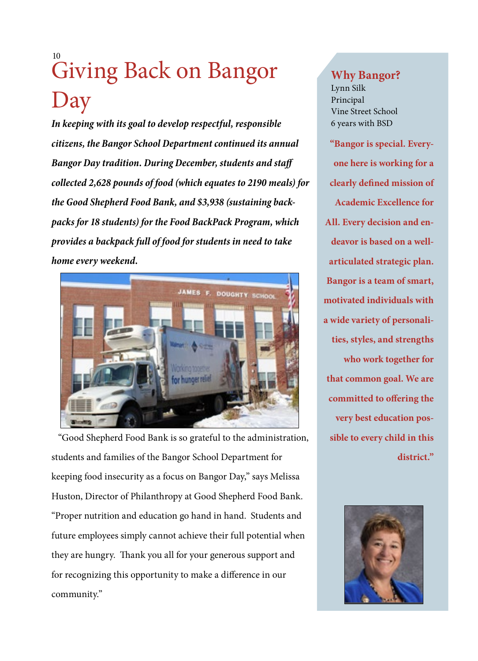### Giving Back on Bangor Day 10

*In keeping with its goal to develop respectful, responsible citizens, the Bangor School Department continued its annual Bangor Day tradition. During December, students and staff collected 2,628 pounds of food (which equates to 2190 meals) for the Good Shepherd Food Bank, and \$3,938 (sustaining backpacks for 18 students) for the Food BackPack Program, which provides a backpack full of food for students in need to take home every weekend.*



 "Good Shepherd Food Bank is so grateful to the administration, students and families of the Bangor School Department for keeping food insecurity as a focus on Bangor Day," says Melissa Huston, Director of Philanthropy at Good Shepherd Food Bank. "Proper nutrition and education go hand in hand. Students and future employees simply cannot achieve their full potential when they are hungry. Thank you all for your generous support and for recognizing this opportunity to make a difference in our community."

#### **Why Bangor?**

Lynn Silk Principal Vine Street School 6 years with BSD

**"Bangor is special. Everyone here is working for a clearly defined mission of Academic Excellence for All. Every decision and endeavor is based on a wellarticulated strategic plan. Bangor is a team of smart, motivated individuals with a wide variety of personalities, styles, and strengths who work together for that common goal. We are committed to offering the very best education possible to every child in this district."**

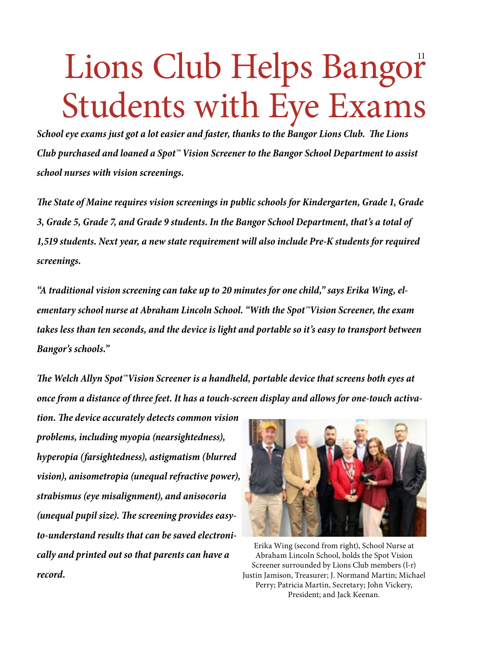## Lions Club Helps Bangor Students with Eye Exams

*School eye exams just got a lot easier and faster, thanks to the Bangor Lions Club. The Lions Club purchased and loaned a Spot™ Vision Screener to the Bangor School Department to assist school nurses with vision screenings.*

*The State of Maine requires vision screenings in public schools for Kindergarten, Grade 1, Grade 3, Grade 5, Grade 7, and Grade 9 students. In the Bangor School Department, that's a total of 1,519 students. Next year, a new state requirement will also include Pre-K students for required screenings.*

*"A traditional vision screening can take up to 20 minutes for one child," says Erika Wing, elementary school nurse at Abraham Lincoln School. "With the Spot™Vision Screener, the exam takes less than ten seconds, and the device is light and portable so it's easy to transport between Bangor's schools."*

*The Welch Allyn Spot™Vision Screener is a handheld, portable device that screens both eyes at once from a distance of three feet. It has a touch-screen display and allows for one-touch activa-*

*tion. The device accurately detects common vision problems, including myopia (nearsightedness), hyperopia (farsightedness), astigmatism (blurred vision), anisometropia (unequal refractive power), strabismus (eye misalignment), and anisocoria (unequal pupil size). The screening provides easyto-understand results that can be saved electronically and printed out so that parents can have a record.*



Erika Wing (second from right), School Nurse at Abraham Lincoln School, holds the Spot Vision Screener surrounded by Lions Club members (l-r) Justin Jamison, Treasurer; J. Normand Martin; Michael Perry; Patricia Martin, Secretary; John Vickery, President; and Jack Keenan.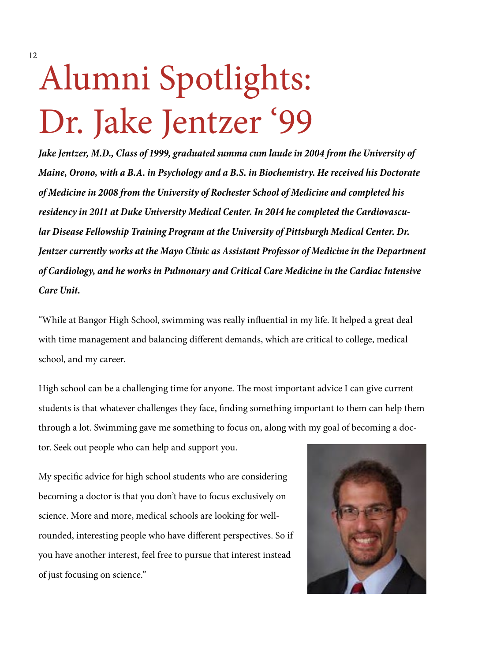## Alumni Spotlights: Dr. Jake Jentzer '99

*Jake Jentzer, M.D., Class of 1999, graduated summa cum laude in 2004 from the University of Maine, Orono, with a B.A. in Psychology and a B.S. in Biochemistry. He received his Doctorate of Medicine in 2008 from the University of Rochester School of Medicine and completed his residency in 2011 at Duke University Medical Center. In 2014 he completed the Cardiovascular Disease Fellowship Training Program at the University of Pittsburgh Medical Center. Dr. Jentzer currently works at the Mayo Clinic as Assistant Professor of Medicine in the Department of Cardiology, and he works in Pulmonary and Critical Care Medicine in the Cardiac Intensive Care Unit.*

"While at Bangor High School, swimming was really influential in my life. It helped a great deal with time management and balancing different demands, which are critical to college, medical school, and my career.

High school can be a challenging time for anyone. The most important advice I can give current students is that whatever challenges they face, finding something important to them can help them through a lot. Swimming gave me something to focus on, along with my goal of becoming a doc-

tor. Seek out people who can help and support you.

My specific advice for high school students who are considering becoming a doctor is that you don't have to focus exclusively on science. More and more, medical schools are looking for wellrounded, interesting people who have different perspectives. So if you have another interest, feel free to pursue that interest instead of just focusing on science."

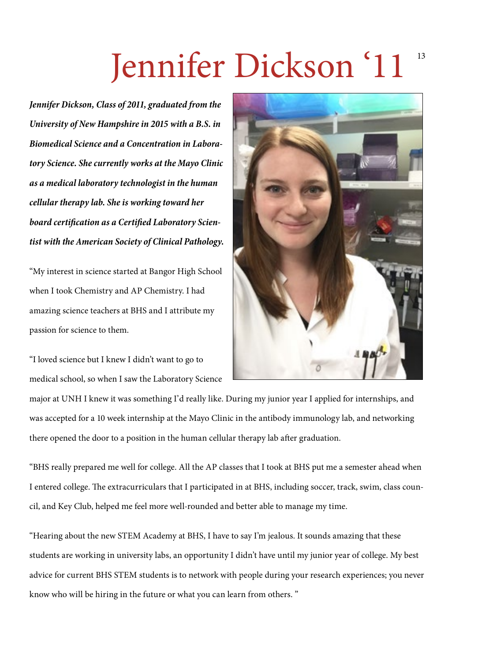## Jennifer Dickson '11 <sup>13</sup>

*Jennifer Dickson, Class of 2011, graduated from the University of New Hampshire in 2015 with a B.S. in Biomedical Science and a Concentration in Laboratory Science. She currently works at the Mayo Clinic as a medical laboratory technologist in the human cellular therapy lab. She is working toward her board certification as a Certified Laboratory Scientist with the American Society of Clinical Pathology.*

"My interest in science started at Bangor High School when I took Chemistry and AP Chemistry. I had amazing science teachers at BHS and I attribute my passion for science to them.

"I loved science but I knew I didn't want to go to medical school, so when I saw the Laboratory Science



major at UNH I knew it was something I'd really like. During my junior year I applied for internships, and was accepted for a 10 week internship at the Mayo Clinic in the antibody immunology lab, and networking there opened the door to a position in the human cellular therapy lab after graduation.

"BHS really prepared me well for college. All the AP classes that I took at BHS put me a semester ahead when I entered college. The extracurriculars that I participated in at BHS, including soccer, track, swim, class council, and Key Club, helped me feel more well-rounded and better able to manage my time.

"Hearing about the new STEM Academy at BHS, I have to say I'm jealous. It sounds amazing that these students are working in university labs, an opportunity I didn't have until my junior year of college. My best advice for current BHS STEM students is to network with people during your research experiences; you never know who will be hiring in the future or what you can learn from others. "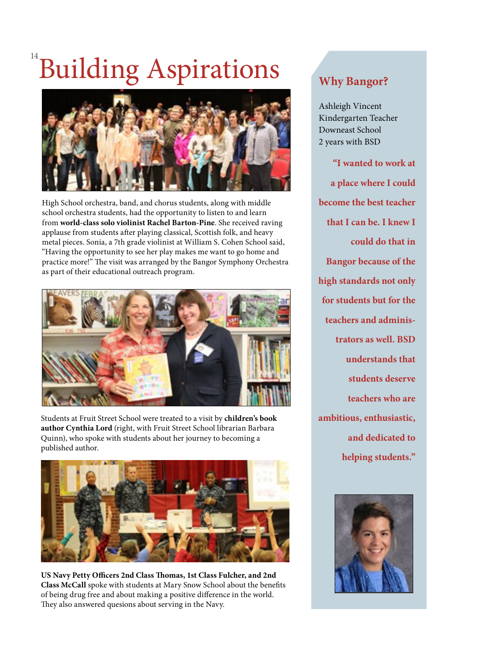## **Building Aspirations**



High School orchestra, band, and chorus students, along with middle school orchestra students, had the opportunity to listen to and learn from **world-class solo violinist Rachel Barton-Pine**. She received raving applause from students after playing classical, Scottish folk, and heavy metal pieces. Sonia, a 7th grade violinist at William S. Cohen School said, "Having the opportunity to see her play makes me want to go home and practice more!" The visit was arranged by the Bangor Symphony Orchestra as part of their educational outreach program.



Students at Fruit Street School were treated to a visit by **children's book author Cynthia Lord** (right, with Fruit Street School librarian Barbara Quinn), who spoke with students about her journey to becoming a published author.



**US Navy Petty Officers 2nd Class Thomas, 1st Class Fulcher, and 2nd Class McCall** spoke with students at Mary Snow School about the benefits of being drug free and about making a positive difference in the world. They also answered quesions about serving in the Navy.

#### **Why Bangor?**

Ashleigh Vincent Kindergarten Teacher Downeast School 2 years with BSD

**"I wanted to work at a place where I could become the best teacher that I can be. I knew I could do that in Bangor because of the high standards not only for students but for the teachers and administrators as well. BSD understands that students deserve teachers who are ambitious, enthusiastic, and dedicated to helping students."**

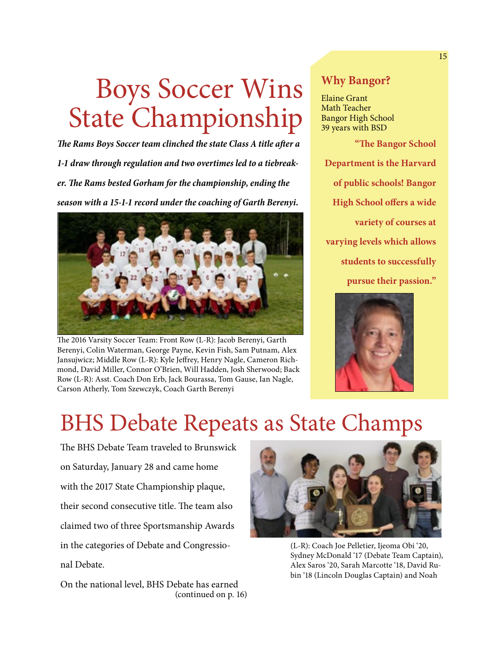## Boys Soccer Wins State Championship

*The Rams Boys Soccer team clinched the state Class A title after a 1-1 draw through regulation and two overtimes led to a tiebreaker. The Rams bested Gorham for the championship, ending the season with a 15-1-1 record under the coaching of Garth Berenyi.*



The 2016 Varsity Soccer Team: Front Row (L-R): Jacob Berenyi, Garth Berenyi, Colin Waterman, George Payne, Kevin Fish, Sam Putnam, Alex Jansujwicz; Middle Row (L-R): Kyle Jeffrey, Henry Nagle, Cameron Richmond, David Miller, Connor O'Brien, Will Hadden, Josh Sherwood; Back Row (L-R): Asst. Coach Don Erb, Jack Bourassa, Tom Gause, Ian Nagle, Carson Atherly, Tom Szewczyk, Coach Garth Berenyi

#### **Why Bangor?**

Elaine Grant Math Teacher Bangor High School 39 years with BSD

**"The Bangor School Department is the Harvard of public schools! Bangor High School offers a wide variety of courses at varying levels which allows students to successfully pursue their passion."**



### BHS Debate Repeats as State Champs

The BHS Debate Team traveled to Brunswick on Saturday, January 28 and came home with the 2017 State Championship plaque, their second consecutive title. The team also claimed two of three Sportsmanship Awards in the categories of Debate and Congressional Debate.

(continued on p. 16) On the national level, BHS Debate has earned



(L-R): Coach Joe Pelletier, Ijeoma Obi '20, Sydney McDonald '17 (Debate Team Captain), Alex Saros '20, Sarah Marcotte '18, David Rubin '18 (Lincoln Douglas Captain) and Noah